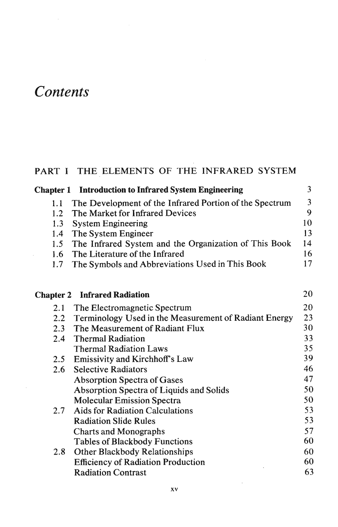# **Contents**

## PART I THE ELEMENTS OF THE INFRARED SYSTEM

| <b>Chapter 1</b> Introduction to Infrared System Engineering |                |
|--------------------------------------------------------------|----------------|
| 1.1 The Development of the Infrared Portion of the Spectrum  | $\overline{3}$ |
| 1.2 The Market for Infrared Devices                          | 9              |
| 1.3 System Engineering                                       | 10             |
| 1.4 The System Engineer                                      | 13             |
| 1.5 The Infrared System and the Organization of This Book    | 14             |
| 1.6 The Literature of the Infrared                           | 16             |
| 1.7 The Symbols and Abbreviations Used in This Book          | 17             |
|                                                              |                |

#### Chapter 2 Infrared Radiation 20 20 2.1 The Electromagnetic Spectrum 2.2 Terminology Used in the Measurement of Radiant Energy<br>2.3 The Measurement of Radiant Flux 23 2.3 The Measurement of Radiant Flux<br>2.4 Thermal Radiation 30 Thermal Radiation 33 Thermal Radiation Laws 35 39 2.5 Emissivity and Kirchhoff's Law 46 2.6 Selective Radiators 47 Absorption Spectra of Gases Absorption Spectra of Liquids and Solids 50 **Molecular Emission Spectra** 50 53 2.7 Aids for Radiation Calculations 53 Radiation Slide Rules 57 Charts and Monographs 60 Tables of Blackbody Functions 2.8 Other Blackbody Relationships 60 **Efficiency of Radiation Production** 60 **Radiation Contrast** 63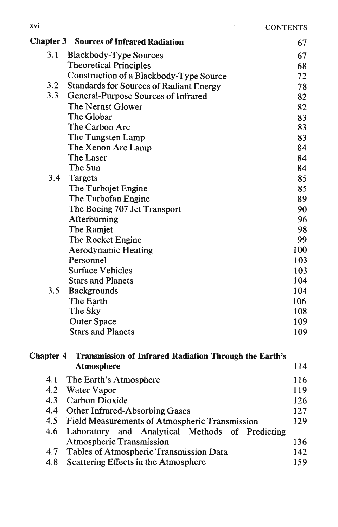|     | <b>Chapter 3 Sources of Infrared Radiation</b> | 67  |
|-----|------------------------------------------------|-----|
| 3.1 | <b>Blackbody-Type Sources</b>                  | 67  |
|     | <b>Theoretical Principles</b>                  | 68  |
|     | Construction of a Blackbody-Type Source        | 72  |
| 3.2 | <b>Standards for Sources of Radiant Energy</b> | 78  |
| 3.3 | General-Purpose Sources of Infrared            | 82  |
|     | The Nernst Glower                              | 82  |
|     | The Globar                                     | 83  |
|     | The Carbon Arc                                 | 83  |
|     | The Tungsten Lamp                              | 83  |
|     | The Xenon Arc Lamp                             | 84  |
|     | The Laser                                      | 84  |
|     | The Sun                                        | 84  |
| 3.4 | Targets                                        | 85  |
|     | The Turbojet Engine                            | 85  |
|     | The Turbofan Engine                            | 89  |
|     | The Boeing 707 Jet Transport                   | 90  |
|     | Afterburning                                   | 96  |
|     | The Ramjet                                     | 98  |
|     | The Rocket Engine                              | 99  |
|     | <b>Aerodynamic Heating</b>                     | 100 |
|     | Personnel                                      | 103 |
|     | <b>Surface Vehicles</b>                        | 103 |
|     | <b>Stars and Planets</b>                       | 104 |
| 3.5 | <b>Backgrounds</b>                             | 104 |
|     | The Earth                                      | 106 |
|     | The Sky                                        | 108 |
|     | <b>Outer Space</b>                             | 109 |
|     | <b>Stars and Planets</b>                       | 109 |

### Chapter 4 Transmission of Infrared Radiation Through the Earth's Atmosphere 114 116 4.1 The Earth's Atmosphere  $110$

|     | 4.2 Water Vapor                                     | 119 |
|-----|-----------------------------------------------------|-----|
| 4.3 | <b>Carbon Dioxide</b>                               | 126 |
|     | 4.4 Other Infrared-Absorbing Gases                  | 127 |
|     | 4.5 Field Measurements of Atmospheric Transmission  | 129 |
|     | 4.6 Laboratory and Analytical Methods of Predicting |     |
|     | <b>Atmospheric Transmission</b>                     | 136 |
|     | 4.7 Tables of Atmospheric Transmission Data         | 142 |
| 4.8 | Scattering Effects in the Atmosphere                | 159 |
|     |                                                     |     |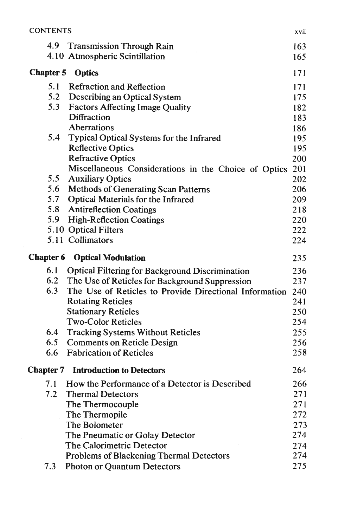| <b>CONTENTS</b>  |                                                                                       | xvii       |
|------------------|---------------------------------------------------------------------------------------|------------|
| 4.9              | <b>Transmission Through Rain</b><br>4.10 Atmospheric Scintillation                    | 163<br>165 |
| <b>Chapter 5</b> | <b>Optics</b>                                                                         | 171        |
| 5.1<br>5.2       | <b>Refraction and Reflection</b><br>Describing an Optical System                      | 171<br>175 |
| 5.3              | <b>Factors Affecting Image Quality</b>                                                | 182        |
|                  | <b>Diffraction</b>                                                                    | 183        |
|                  | <b>Aberrations</b>                                                                    | 186        |
| 5.4              | Typical Optical Systems for the Infrared                                              | 195        |
|                  | <b>Reflective Optics</b>                                                              | 195        |
|                  | <b>Refractive Optics</b>                                                              | 200        |
| 5.5              | Miscellaneous Considerations in the Choice of Optics                                  | 201        |
| 5.6              | <b>Auxiliary Optics</b><br><b>Methods of Generating Scan Patterns</b>                 | 202<br>206 |
| 5.7              | <b>Optical Materials for the Infrared</b>                                             | 209        |
| 5.8              | <b>Antireflection Coatings</b>                                                        | 218        |
| 5.9              | <b>High-Reflection Coatings</b>                                                       | 220        |
|                  | 5.10 Optical Filters                                                                  | 222        |
|                  | 5.11 Collimators                                                                      | 224        |
| <b>Chapter 6</b> | <b>Optical Modulation</b>                                                             | 235        |
| 6.1              | <b>Optical Filtering for Background Discrimination</b>                                | 236        |
|                  | 6.2 The Use of Reticles for Background Suppression                                    | 237        |
|                  |                                                                                       |            |
| 6.3              | The Use of Reticles to Provide Directional Information                                | 240        |
|                  | <b>Rotating Reticles</b>                                                              | 241        |
|                  | <b>Stationary Reticles</b>                                                            | 250        |
|                  | <b>Two-Color Reticles</b>                                                             | 254        |
| 6.4              | <b>Tracking Systems Without Reticles</b>                                              | 255        |
| 6.5              | <b>Comments on Reticle Design</b>                                                     | 256        |
| 6.6              | <b>Fabrication of Reticles</b>                                                        | 258        |
| <b>Chapter 7</b> | <b>Introduction to Detectors</b>                                                      | 264        |
| 7.1              | How the Performance of a Detector is Described                                        | 266        |
| 7.2              | <b>Thermal Detectors</b>                                                              | 271        |
|                  | The Thermocouple                                                                      | 271        |
|                  | The Thermopile                                                                        | 272        |
|                  | The Bolometer                                                                         | 273        |
|                  | The Pneumatic or Golay Detector                                                       | 274        |
|                  | The Calorimetric Detector                                                             | 274        |
| 7.3              | <b>Problems of Blackening Thermal Detectors</b><br><b>Photon or Quantum Detectors</b> | 274<br>275 |

 $\mathcal{L}^{\text{max}}_{\text{max}}$  ,  $\mathcal{L}^{\text{max}}_{\text{max}}$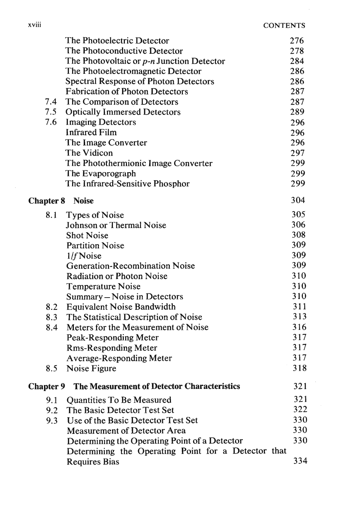|                  | The Photoelectric Detector                          | 276 |
|------------------|-----------------------------------------------------|-----|
|                  | The Photoconductive Detector                        | 278 |
|                  | The Photovoltaic or p-n Junction Detector           | 284 |
|                  | The Photoelectromagnetic Detector                   | 286 |
|                  | <b>Spectral Response of Photon Detectors</b>        | 286 |
|                  | <b>Fabrication of Photon Detectors</b>              | 287 |
| 7.4              | The Comparison of Detectors                         | 287 |
| 7.5              | <b>Optically Immersed Detectors</b>                 | 289 |
| 7.6              | <b>Imaging Detectors</b>                            | 296 |
|                  | <b>Infrared Film</b>                                | 296 |
|                  | The Image Converter                                 | 296 |
|                  | The Vidicon                                         | 297 |
|                  | The Photothermionic Image Converter                 | 299 |
|                  | The Evaporograph                                    | 299 |
|                  | The Infrared-Sensitive Phosphor                     | 299 |
| <b>Chapter 8</b> | <b>Noise</b>                                        | 304 |
| 8.1              | <b>Types of Noise</b>                               | 305 |
|                  | <b>Johnson or Thermal Noise</b>                     | 306 |
|                  | <b>Shot Noise</b>                                   | 308 |
|                  | <b>Partition Noise</b>                              | 309 |
|                  | $1/f$ Noise                                         | 309 |
|                  | <b>Generation-Recombination Noise</b>               | 309 |
|                  | <b>Radiation or Photon Noise</b>                    | 310 |
|                  | <b>Temperature Noise</b>                            | 310 |
|                  | Summary - Noise in Detectors                        | 310 |
| 8.2              | <b>Equivalent Noise Bandwidth</b>                   | 311 |
| 8.3              | The Statistical Description of Noise                | 313 |
| 8.4              | Meters for the Measurement of Noise                 | 316 |
|                  | <b>Peak-Responding Meter</b>                        | 317 |
|                  | <b>Rms-Responding Meter</b>                         | 317 |
|                  | <b>Average-Responding Meter</b>                     | 317 |
| 8.5              | Noise Figure                                        | 318 |
| <b>Chapter 9</b> | The Measurement of Detector Characteristics         | 321 |
| 9.1              | <b>Quantities To Be Measured</b>                    | 321 |
| 9.2              | The Basic Detector Test Set                         | 322 |
| 9.3              | Use of the Basic Detector Test Set                  | 330 |
|                  | <b>Measurement of Detector Area</b>                 | 330 |
|                  | Determining the Operating Point of a Detector       | 330 |
|                  | Determining the Operating Point for a Detector that |     |
|                  | <b>Requires Bias</b>                                | 334 |
|                  |                                                     |     |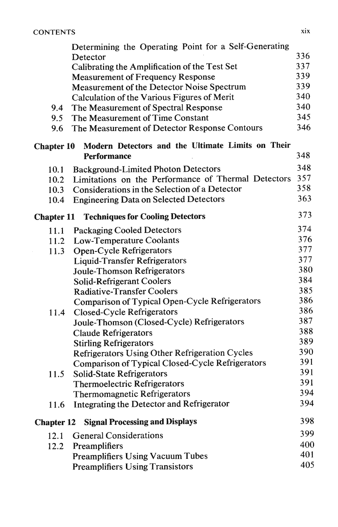|                   | Determining the Operating Point for a Self-Generating   |     |
|-------------------|---------------------------------------------------------|-----|
|                   | Detector                                                | 336 |
|                   | Calibrating the Amplification of the Test Set           | 337 |
|                   | <b>Measurement of Frequency Response</b>                | 339 |
|                   | <b>Measurement of the Detector Noise Spectrum</b>       | 339 |
|                   | Calculation of the Various Figures of Merit             | 340 |
| 9.4               | The Measurement of Spectral Response                    | 340 |
| 9.5               | The Measurement of Time Constant                        | 345 |
| 9.6               | The Measurement of Detector Response Contours           | 346 |
| <b>Chapter 10</b> | Modern Detectors and the Ultimate Limits on Their       |     |
|                   | <b>Performance</b>                                      | 348 |
| 10.1              | <b>Background-Limited Photon Detectors</b>              | 348 |
| 10.2              | Limitations on the Performance of Thermal Detectors     | 357 |
| 10.3              | Considerations in the Selection of a Detector           | 358 |
| 10.4              | <b>Engineering Data on Selected Detectors</b>           | 363 |
| <b>Chapter 11</b> | <b>Techniques for Cooling Detectors</b>                 | 373 |
| 11.1              | <b>Packaging Cooled Detectors</b>                       | 374 |
| 11.2              | <b>Low-Temperature Coolants</b>                         | 376 |
| 11.3              | <b>Open-Cycle Refrigerators</b>                         | 377 |
|                   | <b>Liquid-Transfer Refrigerators</b>                    | 377 |
|                   | <b>Joule-Thomson Refrigerators</b>                      | 380 |
|                   | <b>Solid-Refrigerant Coolers</b>                        | 384 |
|                   | <b>Radiative-Transfer Coolers</b>                       | 385 |
|                   | Comparison of Typical Open-Cycle Refrigerators          | 386 |
| 11.4              | <b>Closed-Cycle Refrigerators</b>                       | 386 |
|                   | Joule-Thomson (Closed-Cycle) Refrigerators              | 387 |
|                   | <b>Claude Refrigerators</b>                             | 388 |
|                   | <b>Stirling Refrigerators</b>                           | 389 |
|                   | <b>Refrigerators Using Other Refrigeration Cycles</b>   | 390 |
|                   | <b>Comparison of Typical Closed-Cycle Refrigerators</b> | 391 |
| 11.5              | <b>Solid-State Refrigerators</b>                        | 391 |
|                   | <b>Thermoelectric Refrigerators</b>                     | 391 |
|                   | <b>Thermomagnetic Refrigerators</b>                     | 394 |
| 11.6              | Integrating the Detector and Refrigerator               | 394 |
| <b>Chapter 12</b> | <b>Signal Processing and Displays</b>                   | 398 |
| 12.1              | <b>General Considerations</b>                           | 399 |
| 12.2              | <b>Preamplifiers</b>                                    | 400 |
|                   | <b>Preamplifiers Using Vacuum Tubes</b>                 | 401 |
|                   | <b>Preamplifiers Using Transistors</b>                  | 405 |
|                   |                                                         |     |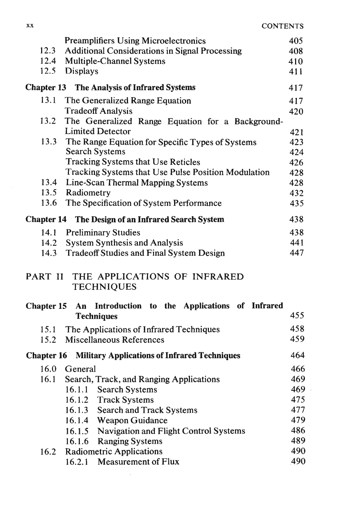$\bar{z}$ 

|         | <b>Preamplifiers Using Microelectronics</b>                | 405 |
|---------|------------------------------------------------------------|-----|
| 12.3    | <b>Additional Considerations in Signal Processing</b>      | 408 |
| 12.4    | <b>Multiple-Channel Systems</b>                            | 410 |
| 12.5    | <b>Displays</b>                                            | 411 |
|         | <b>Chapter 13</b> The Analysis of Infrared Systems         | 417 |
| 13.1    | The Generalized Range Equation                             | 417 |
|         | <b>Tradeoff Analysis</b>                                   | 420 |
| 13.2    | The Generalized Range Equation for a Background-           |     |
|         | <b>Limited Detector</b>                                    | 421 |
| 13.3    | The Range Equation for Specific Types of Systems           | 423 |
|         | <b>Search Systems</b>                                      | 424 |
|         | <b>Tracking Systems that Use Reticles</b>                  | 426 |
|         | <b>Tracking Systems that Use Pulse Position Modulation</b> | 428 |
|         | 13.4 Line-Scan Thermal Mapping Systems                     | 428 |
|         | 13.5 Radiometry                                            | 432 |
| 13.6    | The Specification of System Performance                    | 435 |
|         | <b>Chapter 14 The Design of an Infrared Search System</b>  | 438 |
|         | 14.1 Preliminary Studies                                   | 438 |
|         | 14.2 System Synthesis and Analysis                         | 441 |
| 14.3    | <b>Tradeoff Studies and Final System Design</b>            | 447 |
| PART II | THE APPLICATIONS OF INFRARED<br><b>TECHNIQUES</b>          |     |

|      | Chapter 15 An Introduction to the Applications of Infrared<br><b>Techniques</b> | 455 |
|------|---------------------------------------------------------------------------------|-----|
|      |                                                                                 |     |
| 15.1 | The Applications of Infrared Techniques                                         | 458 |
| 15.2 | <b>Miscellaneous References</b>                                                 | 459 |
|      | <b>Chapter 16 Military Applications of Infrared Techniques</b>                  | 464 |
| 16.0 | General                                                                         | 466 |
|      | 16.1 Search, Track, and Ranging Applications                                    | 469 |
|      | <b>Search Systems</b><br>16.1.1                                                 | 469 |
|      | 16.1.2 Track Systems                                                            | 475 |
|      | 16.1.3 Search and Track Systems                                                 | 477 |
|      | 16.1.4 Weapon Guidance                                                          | 479 |
|      | 16.1.5 Navigation and Flight Control Systems                                    | 486 |
|      | 16.1.6 Ranging Systems                                                          | 489 |
|      | 16.2 Radiometric Applications                                                   | 490 |
|      | <b>Measurement of Flux</b><br>16.2.1                                            | 490 |

 $\sim$ 

÷.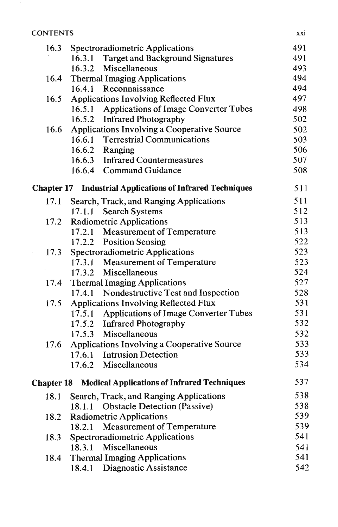### **CONTENTS**

|                   | 16.3 Spectroradiometric Applications                             | 491 |
|-------------------|------------------------------------------------------------------|-----|
|                   | 16.3.1 Target and Background Signatures                          | 491 |
|                   | 16.3.2 Miscellaneous                                             | 493 |
| 16.4              | <b>Thermal Imaging Applications</b>                              | 494 |
|                   | 16.4.1 Reconnaissance                                            | 494 |
| 16.5              | <b>Applications Involving Reflected Flux</b>                     | 497 |
|                   | 16.5.1 Applications of Image Converter Tubes                     | 498 |
|                   | 16.5.2 Infrared Photography                                      | 502 |
| 16.6              | Applications Involving a Cooperative Source                      | 502 |
|                   | 16.6.1 Terrestrial Communications                                | 503 |
|                   | 16.6.2 Ranging                                                   | 506 |
|                   | 16.6.3 Infrared Countermeasures                                  | 507 |
|                   | 16.6.4 Command Guidance                                          | 508 |
|                   | <b>Chapter 17 Industrial Applications of Infrared Techniques</b> | 511 |
| 17.1              | Search, Track, and Ranging Applications                          | 511 |
|                   | <b>Search Systems</b><br>17.1.1                                  | 512 |
| 17.2              | <b>Radiometric Applications</b>                                  | 513 |
|                   | 17.2.1 Measurement of Temperature                                | 513 |
|                   | 17.2.2 Position Sensing                                          | 522 |
| 17.3              | <b>Spectroradiometric Applications</b>                           | 523 |
|                   | 17.3.1 Measurement of Temperature                                | 523 |
|                   | 17.3.2 Miscellaneous                                             | 524 |
| 17.4              | <b>Thermal Imaging Applications</b>                              | 527 |
|                   | 17.4.1 Nondestructive Test and Inspection                        | 528 |
| 17.5              | <b>Applications Involving Reflected Flux</b>                     | 531 |
|                   | <b>Applications of Image Converter Tubes</b><br>17.5.1           | 531 |
|                   | 17.5.2 Infrared Photography                                      | 532 |
|                   | 17.5.3 Miscellaneous                                             | 532 |
| 17.6              | Applications Involving a Cooperative Source                      | 533 |
|                   | 17.6.1<br><b>Intrusion Detection</b>                             | 533 |
|                   | 17.6.2 Miscellaneous                                             | 534 |
| <b>Chapter 18</b> | <b>Medical Applications of Infrared Techniques</b>               | 537 |
| 18.1              | Search, Track, and Ranging Applications                          | 538 |
|                   | <b>Obstacle Detection (Passive)</b><br>18.1.1                    | 538 |
| 18.2              | <b>Radiometric Applications</b>                                  | 539 |
|                   | <b>Measurement of Temperature</b><br>18.2.1                      | 539 |
| 18.3              | <b>Spectroradiometric Applications</b>                           | 541 |
|                   | Miscellaneous<br>18.3.1                                          | 541 |
| 18.4              | <b>Thermal Imaging Applications</b>                              | 541 |
|                   | <b>Diagnostic Assistance</b><br>18.4.1                           | 542 |
|                   |                                                                  |     |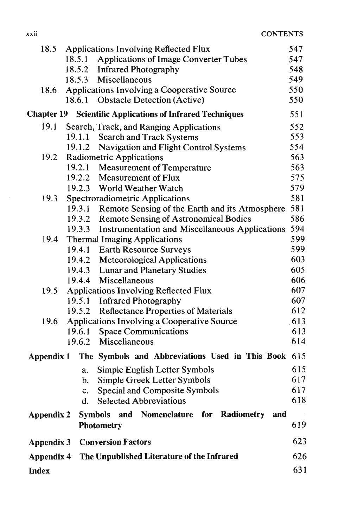| 18.5              | <b>Applications Involving Reflected Flux</b>           | 547 |
|-------------------|--------------------------------------------------------|-----|
|                   | 18.5.1<br><b>Applications of Image Converter Tubes</b> | 547 |
|                   | <b>Infrared Photography</b><br>18.5.2                  | 548 |
|                   | 18.5.3 Miscellaneous                                   | 549 |
| 18.6              | Applications Involving a Cooperative Source            | 550 |
|                   | 18.6.1 Obstacle Detection (Active)                     | 550 |
| <b>Chapter 19</b> | <b>Scientific Applications of Infrared Techniques</b>  | 551 |
| 19.1              | Search, Track, and Ranging Applications                | 552 |
|                   | 19.1.1 Search and Track Systems                        | 553 |
|                   | 19.1.2<br><b>Navigation and Flight Control Systems</b> | 554 |
| 19.2              | <b>Radiometric Applications</b>                        | 563 |
|                   | 19.2.1<br><b>Measurement of Temperature</b>            | 563 |
|                   | 19.2.2 Measurement of Flux                             | 575 |
|                   | 19.2.3 World Weather Watch                             | 579 |
| 19.3              | Spectroradiometric Applications                        | 581 |
|                   | 19.3.1 Remote Sensing of the Earth and its Atmosphere  | 581 |
|                   | 19.3.2 Remote Sensing of Astronomical Bodies           | 586 |
|                   | 19.3.3 Instrumentation and Miscellaneous Applications  | 594 |
| 19.4              | <b>Thermal Imaging Applications</b>                    | 599 |
|                   | 19.4.1 Earth Resource Surveys                          | 599 |
|                   | 19.4.2 Meteorological Applications                     | 603 |
|                   | 19.4.3 Lunar and Planetary Studies                     | 605 |
|                   | Miscellaneous<br>19.4.4                                | 606 |
| 19.5              | <b>Applications Involving Reflected Flux</b>           | 607 |
|                   | 19.5.1<br><b>Infrared Photography</b>                  | 607 |
|                   | 19.5.2 Reflectance Properties of Materials             | 612 |
| 19.6              | Applications Involving a Cooperative Source            | 613 |
|                   | <b>Space Communications</b><br>19.6.1                  | 613 |
|                   | 19.6.2 Miscellaneous                                   | 614 |
| Appendix 1        | The Symbols and Abbreviations Used in This Book 615    |     |
|                   | Simple English Letter Symbols<br>a.                    | 615 |
|                   | Simple Greek Letter Symbols<br>b.                      | 617 |
|                   | <b>Special and Composite Symbols</b><br>c.             | 617 |
|                   | <b>Selected Abbreviations</b><br>d.                    | 618 |
| <b>Appendix 2</b> | Symbols and Nomenclature for Radiometry and            |     |
|                   | <b>Photometry</b>                                      | 619 |
| <b>Appendix 3</b> | <b>Conversion Factors</b>                              | 623 |
| <b>Appendix 4</b> | The Unpublished Literature of the Infrared             | 626 |
| <b>Index</b>      |                                                        | 631 |

 $\sim$